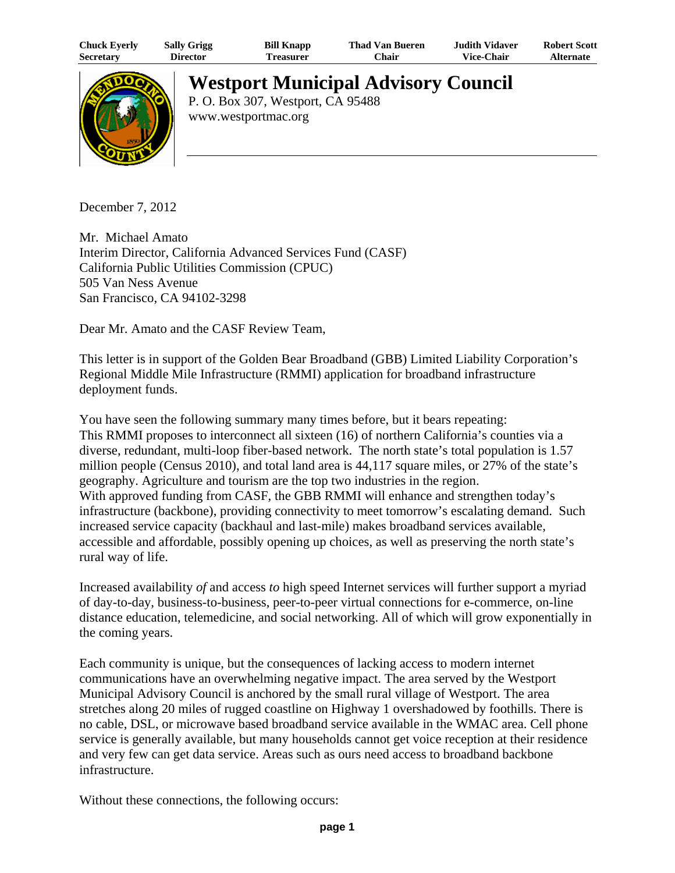| <b>Chuck Eyerly</b> | <b>Sally Grigg</b> | <b>Bill Knapp</b> | <b>Thad Van Bueren</b> | Judith Vidaver    | <b>Robert Scott</b> |
|---------------------|--------------------|-------------------|------------------------|-------------------|---------------------|
| <b>Secretary</b>    | Director           | l`reasurer        | <b>Chair</b>           | <b>Vice-Chair</b> | <b>Alternate</b>    |



## **Westport Municipal Advisory Council**

P. O. Box 307, Westport, CA 95488 www.westportmac.org

December 7, 2012

Mr. Michael Amato Interim Director, California Advanced Services Fund (CASF) California Public Utilities Commission (CPUC) 505 Van Ness Avenue San Francisco, CA 94102-3298

Dear Mr. Amato and the CASF Review Team,

This letter is in support of the Golden Bear Broadband (GBB) Limited Liability Corporation's Regional Middle Mile Infrastructure (RMMI) application for broadband infrastructure deployment funds.

You have seen the following summary many times before, but it bears repeating: This RMMI proposes to interconnect all sixteen (16) of northern California's counties via a diverse, redundant, multi-loop fiber-based network. The north state's total population is 1.57 million people (Census 2010), and total land area is 44,117 square miles, or 27% of the state's geography. Agriculture and tourism are the top two industries in the region. With approved funding from CASF, the GBB RMMI will enhance and strengthen today's infrastructure (backbone), providing connectivity to meet tomorrow's escalating demand. Such increased service capacity (backhaul and last-mile) makes broadband services available, accessible and affordable, possibly opening up choices, as well as preserving the north state's rural way of life.

Increased availability *of* and access *to* high speed Internet services will further support a myriad of day-to-day, business-to-business, peer-to-peer virtual connections for e-commerce, on-line distance education, telemedicine, and social networking. All of which will grow exponentially in the coming years.

Each community is unique, but the consequences of lacking access to modern internet communications have an overwhelming negative impact. The area served by the Westport Municipal Advisory Council is anchored by the small rural village of Westport. The area stretches along 20 miles of rugged coastline on Highway 1 overshadowed by foothills. There is no cable, DSL, or microwave based broadband service available in the WMAC area. Cell phone service is generally available, but many households cannot get voice reception at their residence and very few can get data service. Areas such as ours need access to broadband backbone infrastructure.

Without these connections, the following occurs: